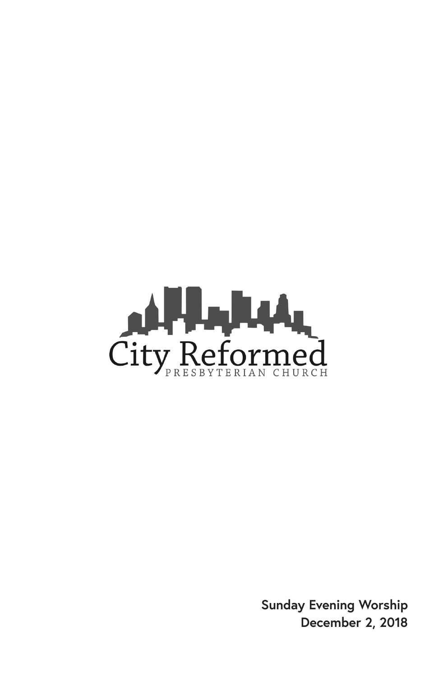

**Sunday Evening Worship December 2, 2018**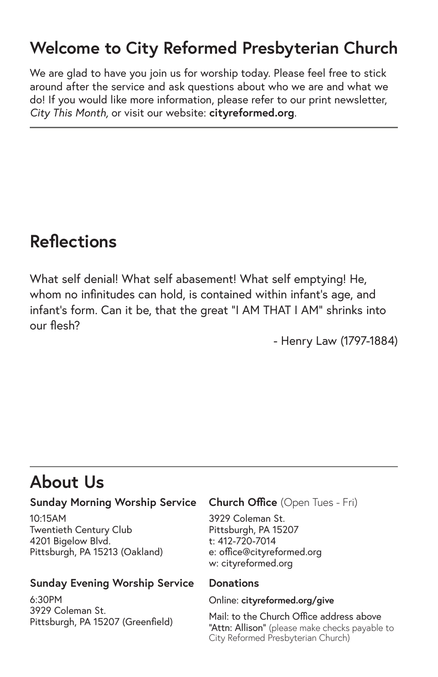# **Welcome to City Reformed Presbyterian Church**

We are glad to have you join us for worship today. Please feel free to stick around after the service and ask questions about who we are and what we do! If you would like more information, please refer to our print newsletter, *City This Month,* or visit our website: **cityreformed.org**.

# **Reflections**

What self denial! What self abasement! What self emptying! He, whom no infinitudes can hold, is contained within infant's age, and infant's form. Can it be, that the great "I AM THAT I AM" shrinks into our flesh?

- Henry Law (1797-1884)

# **About Us**

#### **Sunday Morning Worship Service**

10:15AM Twentieth Century Club 4201 Bigelow Blvd. Pittsburgh, PA 15213 (Oakland)

#### **Sunday Evening Worship Service**

6:30PM 3929 Coleman St. Pittsburgh, PA 15207 (Greenfield)

#### **Church Office** (Open Tues - Fri)

3929 Coleman St. Pittsburgh, PA 15207 t: 412-720-7014 e: office@cityreformed.org w: cityreformed.org

#### **Donations**

#### Online: **cityreformed.org/give**

Mail: to the Church Office address above "Attn: Allison" (please make checks payable to City Reformed Presbyterian Church)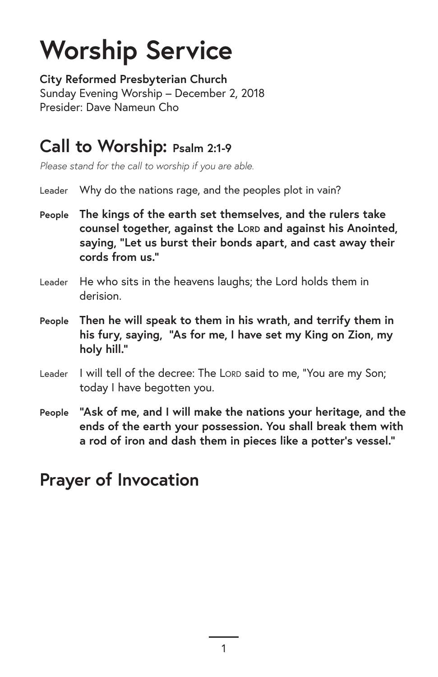# **Worship Service**

**City Reformed Presbyterian Church** Sunday Evening Worship – December 2, 2018 Presider: Dave Nameun Cho

# **Call to Worship: Psalm 2:1-9**

*Please stand for the call to worship if you are able.*

- Leader Why do the nations rage, and the peoples plot in vain?
- **People The kings of the earth set themselves, and the rulers take counsel together, against the LORD and against his Anointed, saying, "Let us burst their bonds apart, and cast away their cords from us."**
- Leader He who sits in the heavens laughs; the Lord holds them in derision.
- **People Then he will speak to them in his wrath, and terrify them in his fury, saying, "As for me, I have set my King on Zion, my holy hill."**
- Leader I will tell of the decree: The Lord said to me, "You are my Son; today I have begotten you.
- **People "Ask of me, and I will make the nations your heritage, and the ends of the earth your possession. You shall break them with a rod of iron and dash them in pieces like a potter's vessel."**

# **Prayer of Invocation**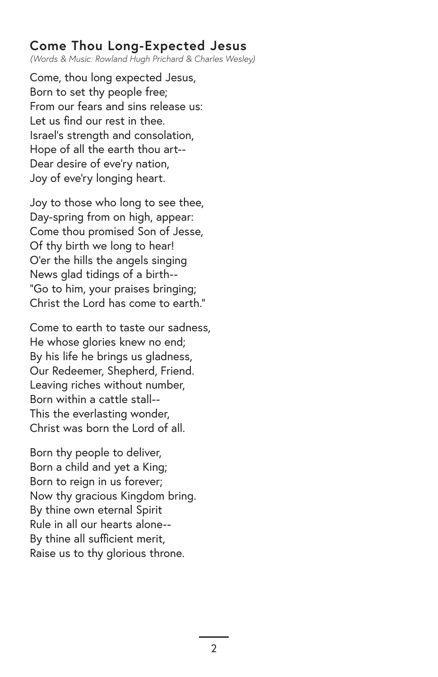### **Come Thou Long-Expected Jesus**

*(Words & Music: Rowland Hugh Prichard & Charles Wesley)*

Come, thou long expected Jesus, Born to set thy people free; From our fears and sins release us: Let us find our rest in thee. Israel's strength and consolation, Hope of all the earth thou art-- Dear desire of eve'ry nation, Joy of eve'ry longing heart.

Joy to those who long to see thee, Day-spring from on high, appear: Come thou promised Son of Jesse, Of thy birth we long to hear! O'er the hills the angels singing News glad tidings of a birth-- "Go to him, your praises bringing; Christ the Lord has come to earth."

Come to earth to taste our sadness, He whose glories knew no end; By his life he brings us gladness, Our Redeemer, Shepherd, Friend. Leaving riches without number, Born within a cattle stall-- This the everlasting wonder, Christ was born the Lord of all.

Born thy people to deliver, Born a child and yet a King; Born to reign in us forever; Now thy gracious Kingdom bring. By thine own eternal Spirit Rule in all our hearts alone-- By thine all sufficient merit, Raise us to thy glorious throne.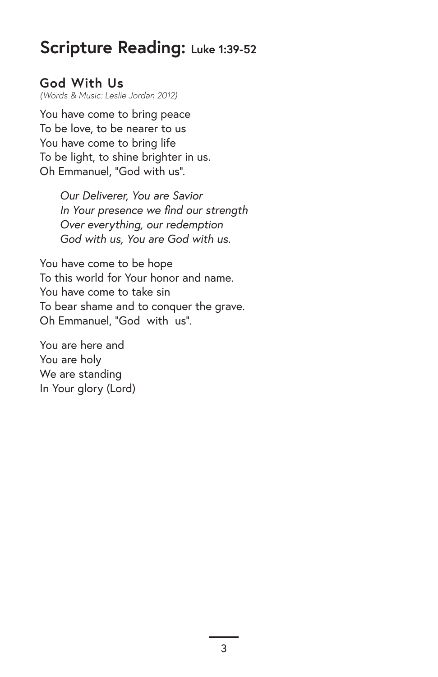### **Scripture Reading: Luke 1:39-52**

#### **God With Us**  *(Words & Music: Leslie Jordan 2012)*

You have come to bring peace To be love, to be nearer to us You have come to bring life To be light, to shine brighter in us. Oh Emmanuel, "God with us".

> *Our Deliverer, You are Savior In Your presence we find our strength Over everything, our redemption God with us, You are God with us.*

You have come to be hope To this world for Your honor and name. You have come to take sin To bear shame and to conquer the grave. Oh Emmanuel, "God with us".

You are here and You are holy We are standing In Your glory (Lord)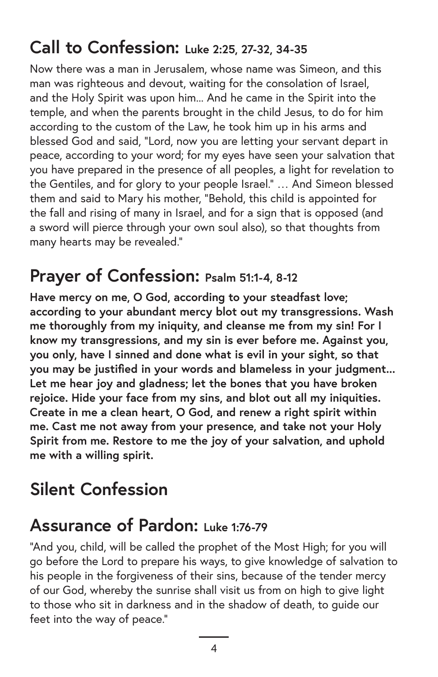# **Call to Confession: Luke 2:25, 27-32, 34-35**

Now there was a man in Jerusalem, whose name was Simeon, and this man was righteous and devout, waiting for the consolation of Israel, and the Holy Spirit was upon him... And he came in the Spirit into the temple, and when the parents brought in the child Jesus, to do for him according to the custom of the Law, he took him up in his arms and blessed God and said, "Lord, now you are letting your servant depart in peace, according to your word; for my eyes have seen your salvation that you have prepared in the presence of all peoples, a light for revelation to the Gentiles, and for glory to your people Israel." … And Simeon blessed them and said to Mary his mother, "Behold, this child is appointed for the fall and rising of many in Israel, and for a sign that is opposed (and a sword will pierce through your own soul also), so that thoughts from many hearts may be revealed."

### **Prayer of Confession: Psalm 51:1-4, 8-12**

**Have mercy on me, O God, according to your steadfast love; according to your abundant mercy blot out my transgressions. Wash me thoroughly from my iniquity, and cleanse me from my sin! For I know my transgressions, and my sin is ever before me. Against you, you only, have I sinned and done what is evil in your sight, so that you may be justified in your words and blameless in your judgment... Let me hear joy and gladness; let the bones that you have broken rejoice. Hide your face from my sins, and blot out all my iniquities. Create in me a clean heart, O God, and renew a right spirit within me. Cast me not away from your presence, and take not your Holy Spirit from me. Restore to me the joy of your salvation, and uphold me with a willing spirit.**

# **Silent Confession**

# **Assurance of Pardon: Luke 1:76-79**

"And you, child, will be called the prophet of the Most High; for you will go before the Lord to prepare his ways, to give knowledge of salvation to his people in the forgiveness of their sins, because of the tender mercy of our God, whereby the sunrise shall visit us from on high to give light to those who sit in darkness and in the shadow of death, to guide our feet into the way of peace."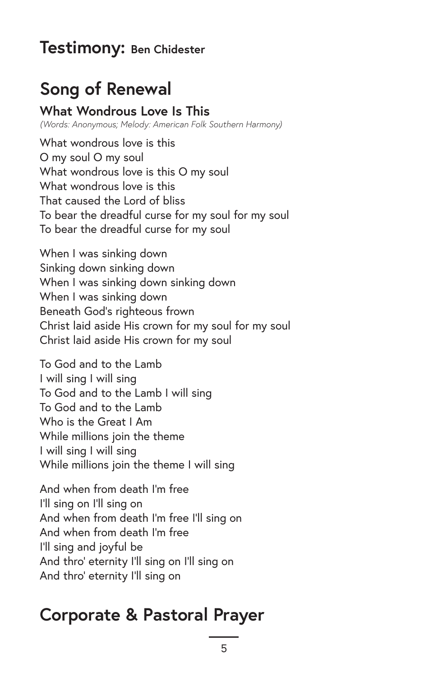### **Testimony: Ben Chidester**

# **Song of Renewal**

### **What Wondrous Love Is This**

*(Words: Anonymous; Melody: American Folk Southern Harmony)*

What wondrous love is this O my soul O my soul What wondrous love is this O my soul What wondrous love is this That caused the Lord of bliss To bear the dreadful curse for my soul for my soul To bear the dreadful curse for my soul

When I was sinking down Sinking down sinking down When I was sinking down sinking down When I was sinking down Beneath God's righteous frown Christ laid aside His crown for my soul for my soul Christ laid aside His crown for my soul

To God and to the Lamb I will sing I will sing To God and to the Lamb I will sing To God and to the Lamb Who is the Great I Am While millions join the theme I will sing I will sing While millions join the theme I will sing

And when from death I'm free I'll sing on I'll sing on And when from death I'm free I'll sing on And when from death I'm free I'll sing and joyful be And thro' eternity I'll sing on I'll sing on And thro' eternity I'll sing on

### **Corporate & Pastoral Prayer**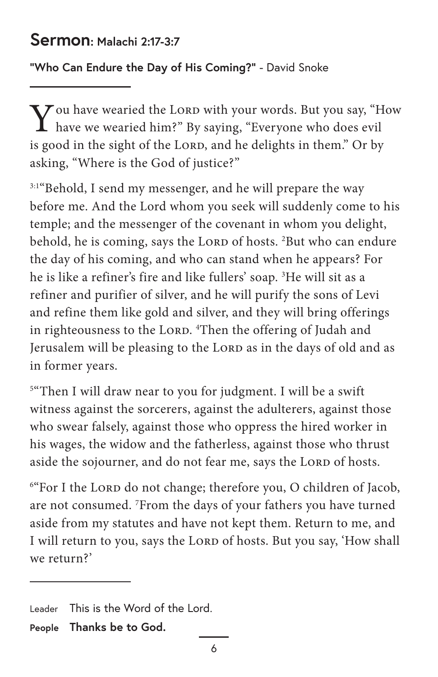### **Sermon: Malachi 2:17-3:7**

**"Who Can Endure the Day of His Coming?"** - David Snoke

 $\bf V$  ou have wearied the LORD with your words. But you say, "How have we wearied him?" By saying, "Everyone who does evil is good in the sight of the LORD, and he delights in them." Or by asking, "Where is the God of justice?"

<sup>3:1"</sup>Behold, I send my messenger, and he will prepare the way before me. And the Lord whom you seek will suddenly come to his temple; and the messenger of the covenant in whom you delight, behold, he is coming, says the LORD of hosts. <sup>2</sup>But who can endure the day of his coming, and who can stand when he appears? For he is like a refiner's fire and like fullers' soap. 3 He will sit as a refiner and purifier of silver, and he will purify the sons of Levi and refine them like gold and silver, and they will bring offerings in righteousness to the LORD. <sup>4</sup>Then the offering of Judah and Jerusalem will be pleasing to the LORD as in the days of old and as in former years.

5 "Then I will draw near to you for judgment. I will be a swift witness against the sorcerers, against the adulterers, against those who swear falsely, against those who oppress the hired worker in his wages, the widow and the fatherless, against those who thrust aside the sojourner, and do not fear me, says the LORD of hosts.

<sup>6"</sup>For I the Lorp do not change; therefore you, O children of Jacob, are not consumed. 7 From the days of your fathers you have turned aside from my statutes and have not kept them. Return to me, and I will return to you, says the LORD of hosts. But you say, 'How shall we return?'

Leader This is the Word of the Lord.

**People Thanks be to God.**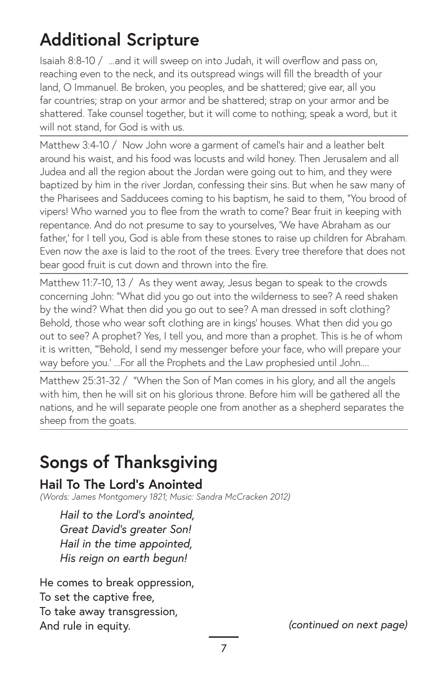# **Additional Scripture**

Isaiah 8:8-10 / ...and it will sweep on into Judah, it will overflow and pass on, reaching even to the neck, and its outspread wings will fill the breadth of your land, O Immanuel. Be broken, you peoples, and be shattered; give ear, all you far countries; strap on your armor and be shattered; strap on your armor and be shattered. Take counsel together, but it will come to nothing; speak a word, but it will not stand, for God is with us.

Matthew 3:4-10 / Now John wore a garment of camel's hair and a leather belt around his waist, and his food was locusts and wild honey. Then Jerusalem and all Judea and all the region about the Jordan were going out to him, and they were baptized by him in the river Jordan, confessing their sins. But when he saw many of the Pharisees and Sadducees coming to his baptism, he said to them, "You brood of vipers! Who warned you to flee from the wrath to come? Bear fruit in keeping with repentance. And do not presume to say to yourselves, 'We have Abraham as our father,' for I tell you, God is able from these stones to raise up children for Abraham. Even now the axe is laid to the root of the trees. Every tree therefore that does not bear good fruit is cut down and thrown into the fire.

Matthew 11:7-10, 13 / As they went away, Jesus began to speak to the crowds concerning John: "What did you go out into the wilderness to see? A reed shaken by the wind? What then did you go out to see? A man dressed in soft clothing? Behold, those who wear soft clothing are in kings' houses. What then did you go out to see? A prophet? Yes, I tell you, and more than a prophet. This is he of whom it is written, "'Behold, I send my messenger before your face, who will prepare your way before you.' ...For all the Prophets and the Law prophesied until John....

Matthew 25:31-32 / "When the Son of Man comes in his glory, and all the angels with him, then he will sit on his glorious throne. Before him will be gathered all the nations, and he will separate people one from another as a shepherd separates the sheep from the goats.

# **Songs of Thanksgiving**

### **Hail To The Lord's Anointed**

*(Words: James Montgomery 1821; Music: Sandra McCracken 2012)*

*Hail to the Lord's anointed, Great David's greater Son! Hail in the time appointed, His reign on earth begun!*

He comes to break oppression, To set the captive free, To take away transgression, And rule in equity.

*(continued on next page)*